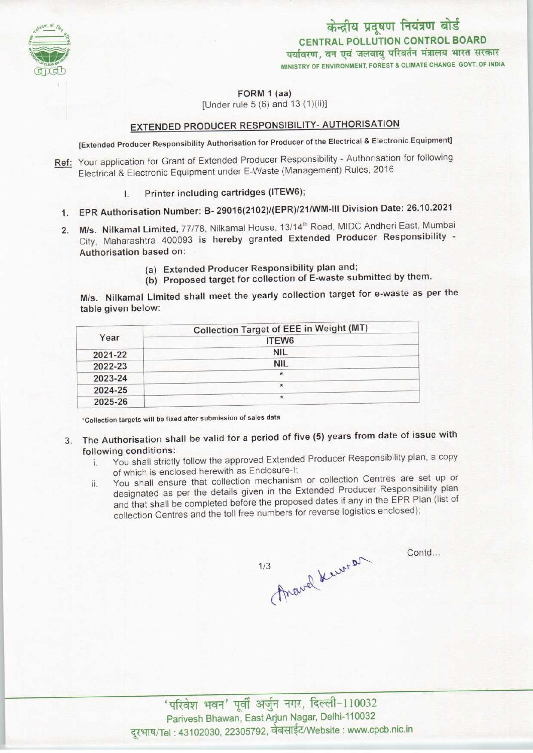

केन्द्रीय प्रदूषण नियंत्रण बोर्ड CENTRAL POLLUTION CONTROL BOARD पर्यावरण, वन एवं जलवायु परिवर्तन मंत्रालय भारत सरकार

MINISTRY OF ENVIRONMENT, FOREST & CLIMATE CHANGE GOVT. OF INDIA

FORM 1 (aa)

[Under rule  $5(6)$  and  $13(1)(ii)$ ]

# EXTENDED PRODUCER RESPONSIBILITY- AUTHORISATION

(Extended Producer Responsibility Authorisation for Producer of the Electrical & Electronic Equipment]

- Ref: Your application for Grant of Extended Producer Responsibility Authorisation for following Electrical & Electronic Equipment under E-Waste (Management) Rules, 2016
	- I. Printer including cartridges(ITEW6);
	- 1.EPR Authorisation Number: B- 29016(2102)/(EPR)/21/WM-lll Division Date: 26.10.2021
	- 2. M/s. Nilkamal Limited, 77/78, Nilkamal House, 13/14<sup>th</sup> Road, MIDC Andheri East, Mumbai City, Maharashtra 400093 is hereby granted Extended Producer Responsibility - Authorisation based on:
		- (a)Extended Producer Responsibility plan and;
		- (b) Proposed target for collection of E-waste submitted by them.

M/s. Nilkamal Limited shall meet the yearly collection target for e-waste as per the table given below:

| Year    | Collection Target of EEE in Weight (MT) |
|---------|-----------------------------------------|
|         | ITEW6                                   |
| 2021-22 | <b>NIL</b>                              |
| 2022-23 | <b>NIL</b>                              |
| 2023-24 | $\star$                                 |
| 2024-25 | $\star$                                 |
| 2025-26 | $\star$                                 |

•Collection targets will be fixed aftersubmission of sales data

- 3. The Authorisation shall be valid for a period of five (5) years from date of issue with following conditions:
	- i. You shall strictly follow the approved Extended Producer Responsibility plan, <sup>a</sup> copy of which is enclosed herewith as Enclosure-I;
	- ii. You shall ensure that collection mechanism or collection Centres are set up or designated as per the details given in the Extended Producer Responsibility plan and that shall be completed before the proposed dates if any in the EPR Plan (list of collection Centres and the toll free numbers for reverse logistics enclosed);

Thave known  $1/3$ 

Contd...

' परिवेश भवन' पूर्वी अर्जुन नगर, दिल्ली-110032 Parivesh Bhawan, East Arjun Nagar, Delhi-110032 दूरभाष/Tel : 43102030, 22305792, वेबसाईट/Website : www.cpcb.nic.in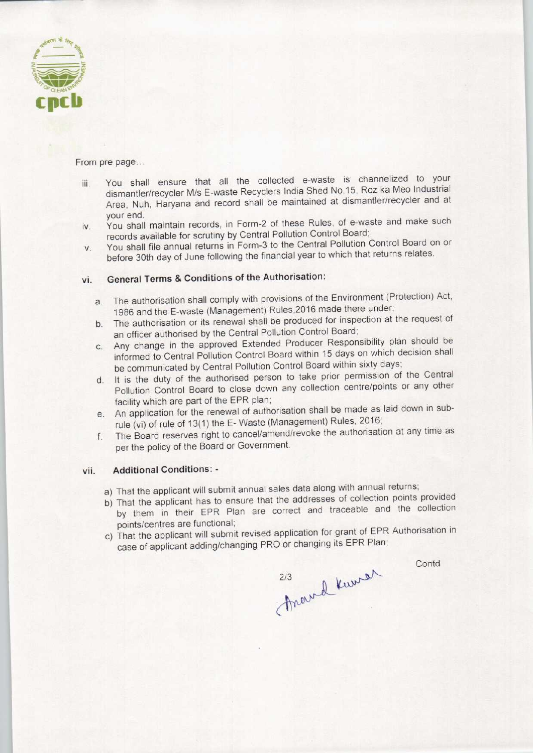

#### From pre page...

- iii. You shall ensure that all the collected e-waste is channelized to your dismantler/recycler M/s E-waste Recyclers India Shed No.15, Roz ka Meo Industrial Area, Nuh, Haryana and record shall be maintained at dismantler/recycler and at your end.
- iv. You shall maintain records, in Form-2 of these Rules, of e-waste and make such records available for scrutiny by Central Pollution Control Board;
- v. You shall file annual returnsin Form-3 to the Central Pollution Control Board on or before 30th day of June following the financial year to which that returns relates.

# vi. General Terms & Conditions of the Authorisation:

- a.The authorisation shall comply with provisions of the Environment(Protection) Act, 1986 and the E-waste (Management) Rules,2016 made there under;
- b. The authorisation or its renewal shall be produced for inspection at the request of an officer authorised by the Central Pollution Control Board;
- c.Any change in the approved Extended Producer Responsibility plan should be informed to Central Pollution Control Board within 15 days on which decision shall be communicated by Central Pollution Control Board within sixty days;
- d. It is the duty of the authorised person to take prior permission of the Central Pollution Control Board to close down any collection centre/points or any other facility which are part of the EPR plan;
- e.An application for the renewal of authorisation shall be made as laid down in subrule (vi) of rule of 13(1) the E- Waste (Management) Rules, 2016;
- f.The Board reserves right to cancel/amend/revoke the authorisation at any time as per the policy of the Board or Government.

#### vii. Additional Conditions: -

- a) That the applicant will submit annual sales data along with annual returns;
- b) That the applicant has to ensure that the addresses of collection points provided by them in their EPR Plan are correct and traceable and the collection points/centres are functional;
- c) That the applicant will submit revised application for grant of EPR Authorisation in case of applicant adding/changing PRO or changing its EPR Plan;

**Contd** 

2/3 Anewel Kurrer